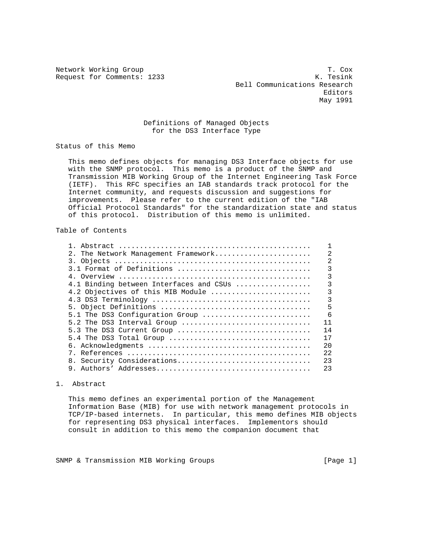Request for Comments: 1233

Network Working Group T. Cox Bell Communications Research experiences and the contract of the contract of the contract of the contract of the contract of the contract of the contract of the contract of the contract of the contract of the contract of the contract of the contract o May 1991

## Definitions of Managed Objects for the DS3 Interface Type

Status of this Memo

 This memo defines objects for managing DS3 Interface objects for use with the SNMP protocol. This memo is a product of the SNMP and Transmission MIB Working Group of the Internet Engineering Task Force (IETF). This RFC specifies an IAB standards track protocol for the Internet community, and requests discussion and suggestions for improvements. Please refer to the current edition of the "IAB Official Protocol Standards" for the standardization state and status of this protocol. Distribution of this memo is unlimited.

# Table of Contents

| 2. The Network Management Framework     | $\overline{2}$ |
|-----------------------------------------|----------------|
|                                         | $\overline{2}$ |
| 3.1 Format of Definitions               | 3              |
|                                         | 3              |
| 4.1 Binding between Interfaces and CSUs | 3              |
| 4.2 Objectives of this MIB Module       | 3              |
|                                         | 3              |
|                                         | 5              |
| 5.1 The DS3 Configuration Group         | 6              |
| 5.2 The DS3 Interval Group              | 11             |
| 5.3 The DS3 Current Group               | 14             |
|                                         | 17             |
|                                         | 2.0            |
|                                         | 2.2.           |
|                                         | 23             |
|                                         | 23             |
| 8. Security Considerations              |                |

## 1. Abstract

 This memo defines an experimental portion of the Management Information Base (MIB) for use with network management protocols in TCP/IP-based internets. In particular, this memo defines MIB objects for representing DS3 physical interfaces. Implementors should consult in addition to this memo the companion document that

SNMP & Transmission MIB Working Groups [Page 1]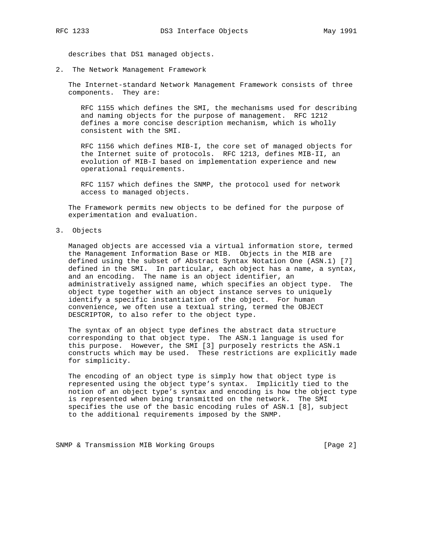describes that DS1 managed objects.

2. The Network Management Framework

 The Internet-standard Network Management Framework consists of three components. They are:

 RFC 1155 which defines the SMI, the mechanisms used for describing and naming objects for the purpose of management. RFC 1212 defines a more concise description mechanism, which is wholly consistent with the SMI.

 RFC 1156 which defines MIB-I, the core set of managed objects for the Internet suite of protocols. RFC 1213, defines MIB-II, an evolution of MIB-I based on implementation experience and new operational requirements.

 RFC 1157 which defines the SNMP, the protocol used for network access to managed objects.

 The Framework permits new objects to be defined for the purpose of experimentation and evaluation.

3. Objects

 Managed objects are accessed via a virtual information store, termed the Management Information Base or MIB. Objects in the MIB are defined using the subset of Abstract Syntax Notation One (ASN.1) [7] defined in the SMI. In particular, each object has a name, a syntax, and an encoding. The name is an object identifier, an administratively assigned name, which specifies an object type. The object type together with an object instance serves to uniquely identify a specific instantiation of the object. For human convenience, we often use a textual string, termed the OBJECT DESCRIPTOR, to also refer to the object type.

 The syntax of an object type defines the abstract data structure corresponding to that object type. The ASN.1 language is used for this purpose. However, the SMI [3] purposely restricts the ASN.1 constructs which may be used. These restrictions are explicitly made for simplicity.

 The encoding of an object type is simply how that object type is represented using the object type's syntax. Implicitly tied to the notion of an object type's syntax and encoding is how the object type is represented when being transmitted on the network. The SMI specifies the use of the basic encoding rules of ASN.1 [8], subject to the additional requirements imposed by the SNMP.

SNMP & Transmission MIB Working Groups [Page 2]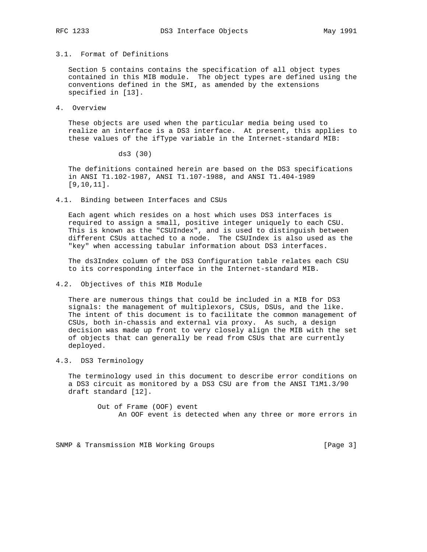# 3.1. Format of Definitions

 Section 5 contains contains the specification of all object types contained in this MIB module. The object types are defined using the conventions defined in the SMI, as amended by the extensions specified in [13].

4. Overview

 These objects are used when the particular media being used to realize an interface is a DS3 interface. At present, this applies to these values of the ifType variable in the Internet-standard MIB:

ds3 (30)

 The definitions contained herein are based on the DS3 specifications in ANSI T1.102-1987, ANSI T1.107-1988, and ANSI T1.404-1989 [9,10,11].

4.1. Binding between Interfaces and CSUs

 Each agent which resides on a host which uses DS3 interfaces is required to assign a small, positive integer uniquely to each CSU. This is known as the "CSUIndex", and is used to distinguish between different CSUs attached to a node. The CSUIndex is also used as the "key" when accessing tabular information about DS3 interfaces.

 The ds3Index column of the DS3 Configuration table relates each CSU to its corresponding interface in the Internet-standard MIB.

### 4.2. Objectives of this MIB Module

 There are numerous things that could be included in a MIB for DS3 signals: the management of multiplexors, CSUs, DSUs, and the like. The intent of this document is to facilitate the common management of CSUs, both in-chassis and external via proxy. As such, a design decision was made up front to very closely align the MIB with the set of objects that can generally be read from CSUs that are currently deployed.

4.3. DS3 Terminology

 The terminology used in this document to describe error conditions on a DS3 circuit as monitored by a DS3 CSU are from the ANSI T1M1.3/90 draft standard [12].

> Out of Frame (OOF) event An OOF event is detected when any three or more errors in

SNMP & Transmission MIB Working Groups [Page 3]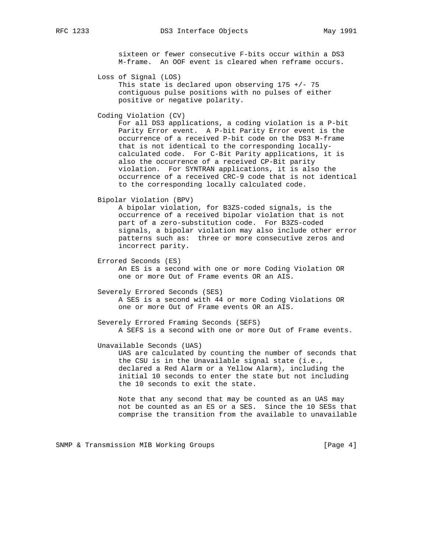sixteen or fewer consecutive F-bits occur within a DS3 M-frame. An OOF event is cleared when reframe occurs.

Loss of Signal (LOS)

This state is declared upon observing  $175$  +/- 75 contiguous pulse positions with no pulses of either positive or negative polarity.

Coding Violation (CV)

 For all DS3 applications, a coding violation is a P-bit Parity Error event. A P-bit Parity Error event is the occurrence of a received P-bit code on the DS3 M-frame that is not identical to the corresponding locally calculated code. For C-Bit Parity applications, it is also the occurrence of a received CP-Bit parity violation. For SYNTRAN applications, it is also the occurrence of a received CRC-9 code that is not identical to the corresponding locally calculated code.

Bipolar Violation (BPV)

 A bipolar violation, for B3ZS-coded signals, is the occurrence of a received bipolar violation that is not part of a zero-substitution code. For B3ZS-coded signals, a bipolar violation may also include other error patterns such as: three or more consecutive zeros and incorrect parity.

Errored Seconds (ES)

 An ES is a second with one or more Coding Violation OR one or more Out of Frame events OR an AIS.

 Severely Errored Seconds (SES) A SES is a second with 44 or more Coding Violations OR one or more Out of Frame events OR an AIS.

 Severely Errored Framing Seconds (SEFS) A SEFS is a second with one or more Out of Frame events.

Unavailable Seconds (UAS)

 UAS are calculated by counting the number of seconds that the CSU is in the Unavailable signal state (i.e., declared a Red Alarm or a Yellow Alarm), including the initial 10 seconds to enter the state but not including the 10 seconds to exit the state.

 Note that any second that may be counted as an UAS may not be counted as an ES or a SES. Since the 10 SESs that comprise the transition from the available to unavailable

SNMP & Transmission MIB Working Groups [Page 4]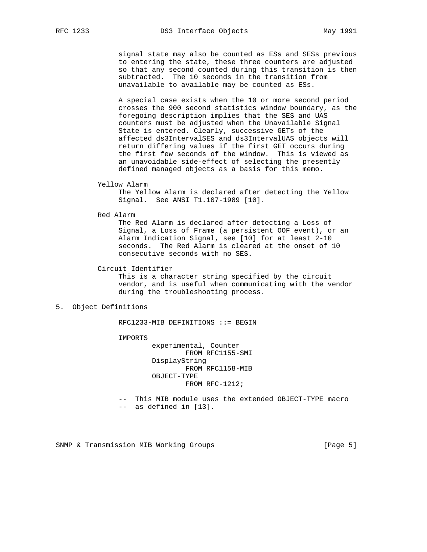signal state may also be counted as ESs and SESs previous to entering the state, these three counters are adjusted so that any second counted during this transition is then subtracted. The 10 seconds in the transition from unavailable to available may be counted as ESs.

 A special case exists when the 10 or more second period crosses the 900 second statistics window boundary, as the foregoing description implies that the SES and UAS counters must be adjusted when the Unavailable Signal State is entered. Clearly, successive GETs of the affected ds3IntervalSES and ds3IntervalUAS objects will return differing values if the first GET occurs during the first few seconds of the window. This is viewed as an unavoidable side-effect of selecting the presently defined managed objects as a basis for this memo.

## Yellow Alarm

 The Yellow Alarm is declared after detecting the Yellow Signal. See ANSI T1.107-1989 [10].

Red Alarm

 The Red Alarm is declared after detecting a Loss of Signal, a Loss of Frame (a persistent OOF event), or an Alarm Indication Signal, see [10] for at least 2-10 seconds. The Red Alarm is cleared at the onset of 10 consecutive seconds with no SES.

## Circuit Identifier

 This is a character string specified by the circuit vendor, and is useful when communicating with the vendor during the troubleshooting process.

# 5. Object Definitions

RFC1233-MIB DEFINITIONS ::= BEGIN

IMPORTS

 experimental, Counter FROM RFC1155-SMI DisplayString FROM RFC1158-MIB OBJECT-TYPE FROM RFC-1212;

 -- This MIB module uses the extended OBJECT-TYPE macro -- as defined in [13].

SNMP & Transmission MIB Working Groups [Page 5]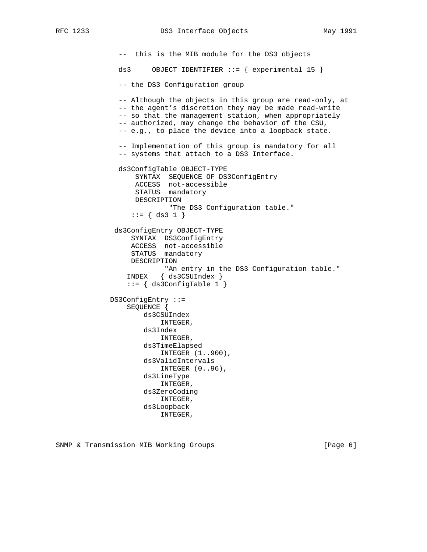-- this is the MIB module for the DS3 objects ds3 OBJECT IDENTIFIER  $::=$  { experimental 15 } -- the DS3 Configuration group -- Although the objects in this group are read-only, at -- the agent's discretion they may be made read-write -- so that the management station, when appropriately -- authorized, may change the behavior of the CSU, -- e.g., to place the device into a loopback state. -- Implementation of this group is mandatory for all -- systems that attach to a DS3 Interface. ds3ConfigTable OBJECT-TYPE SYNTAX SEQUENCE OF DS3ConfigEntry ACCESS not-accessible STATUS mandatory DESCRIPTION "The DS3 Configuration table."  $::= \{ ds3 1 \}$  ds3ConfigEntry OBJECT-TYPE SYNTAX DS3ConfigEntry ACCESS not-accessible STATUS mandatory DESCRIPTION "An entry in the DS3 Configuration table." INDEX { ds3CSUIndex } ::= { ds3ConfigTable 1 } DS3ConfigEntry ::= SEQUENCE { ds3CSUIndex INTEGER, ds3Index INTEGER, ds3TimeElapsed INTEGER (1..900), ds3ValidIntervals INTEGER (0..96), ds3LineType INTEGER, ds3ZeroCoding INTEGER, ds3Loopback

INTEGER,

SNMP & Transmission MIB Working Groups [Page 6]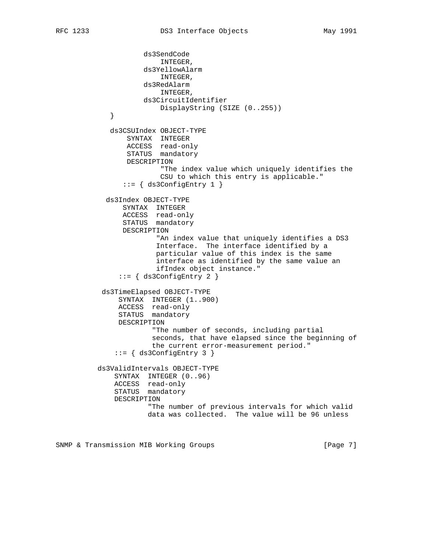```
 ds3SendCode
                          INTEGER,
                      ds3YellowAlarm
                          INTEGER,
                      ds3RedAlarm
                          INTEGER,
                      ds3CircuitIdentifier
             DisplayString (SIZE (0..255))
 }
             ds3CSUIndex OBJECT-TYPE
                 SYNTAX INTEGER
                 ACCESS read-only
                  STATUS mandatory
                  DESCRIPTION
                          "The index value which uniquely identifies the
                          CSU to which this entry is applicable."
                ::= { ds3ConfigEntry 1 }
            ds3Index OBJECT-TYPE
                SYNTAX INTEGER
                ACCESS read-only
                STATUS mandatory
                DESCRIPTION
                         "An index value that uniquely identifies a DS3
                         Interface. The interface identified by a
                         particular value of this index is the same
                         interface as identified by the same value an
                         ifIndex object instance."
                ::= { ds3ConfigEntry 2 }
            ds3TimeElapsed OBJECT-TYPE
               SYNTAX INTEGER (1..900)
               ACCESS read-only
               STATUS mandatory
               DESCRIPTION
                        "The number of seconds, including partial
                        seconds, that have elapsed since the beginning of
                        the current error-measurement period."
               ::= { ds3ConfigEntry 3 }
          ds3ValidIntervals OBJECT-TYPE
              SYNTAX INTEGER (0..96)
              ACCESS read-only
              STATUS mandatory
              DESCRIPTION
                       "The number of previous intervals for which valid
                       data was collected. The value will be 96 unless
```
SNMP & Transmission MIB Working Groups [Page 7]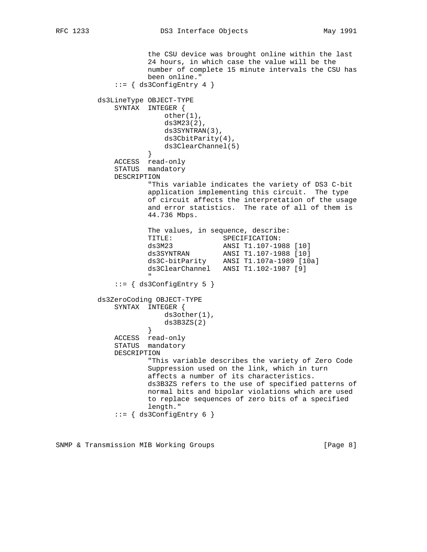the CSU device was brought online within the last 24 hours, in which case the value will be the number of complete 15 minute intervals the CSU has been online."  $::=$  { ds3ConfigEntry 4 } ds3LineType OBJECT-TYPE SYNTAX INTEGER { other(1), ds3M23(2), ds3SYNTRAN(3), ds3CbitParity(4), ds3ClearChannel(5)<br>} } ACCESS read-only STATUS mandatory DESCRIPTION "This variable indicates the variety of DS3 C-bit application implementing this circuit. The type of circuit affects the interpretation of the usage and error statistics. The rate of all of them is 44.736 Mbps. The values, in sequence, describe: TITLE: SPECIFICATION:<br>da2M22 NNCL T1 107 10 ds3M23 ANSI T1.107-1988 [10] ds3SYNTRAN ANSI T1.107-1988 [10] ds3C-bitParity ANSI T1.107a-1989 [10a] ds3ClearChannel ANSI T1.102-1987 [9] " ::= { ds3ConfigEntry 5 } ds3ZeroCoding OBJECT-TYPE SYNTAX INTEGER { ds3other(1),  $ds3B3ZS(2)$  } ACCESS read-only STATUS mandatory DESCRIPTION "This variable describes the variety of Zero Code Suppression used on the link, which in turn affects a number of its characteristics. ds3B3ZS refers to the use of specified patterns of normal bits and bipolar violations which are used to replace sequences of zero bits of a specified length."  $::=$  { ds3ConfigEntry 6 }

SNMP & Transmission MIB Working Groups [Page 8]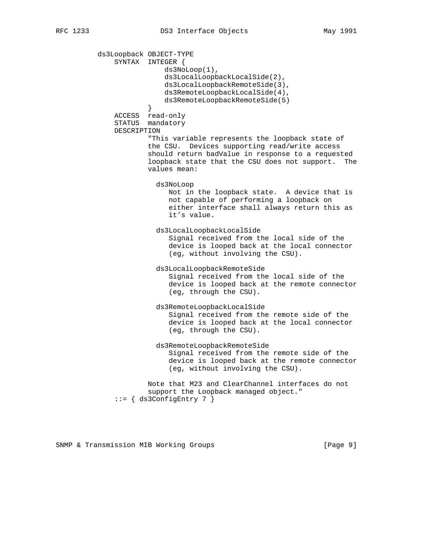ds3Loopback OBJECT-TYPE SYNTAX INTEGER { ds3NoLoop(1), ds3LocalLoopbackLocalSide(2), ds3LocalLoopbackRemoteSide(3), ds3RemoteLoopbackLocalSide(4), ds3RemoteLoopbackRemoteSide(5) } ACCESS read-only STATUS mandatory DESCRIPTION "This variable represents the loopback state of the CSU. Devices supporting read/write access should return badValue in response to a requested loopback state that the CSU does not support. The values mean: ds3NoLoop Not in the loopback state. A device that is not capable of performing a loopback on either interface shall always return this as it's value. ds3LocalLoopbackLocalSide Signal received from the local side of the device is looped back at the local connector (eg, without involving the CSU). ds3LocalLoopbackRemoteSide Signal received from the local side of the device is looped back at the remote connector (eg, through the CSU). ds3RemoteLoopbackLocalSide Signal received from the remote side of the device is looped back at the local connector (eg, through the CSU). ds3RemoteLoopbackRemoteSide Signal received from the remote side of the device is looped back at the remote connector (eg, without involving the CSU). Note that M23 and ClearChannel interfaces do not support the Loopback managed object."  $::=$   $\{$  ds3ConfigEntry 7  $\}$ 

SNMP & Transmission MIB Working Groups [Page 9]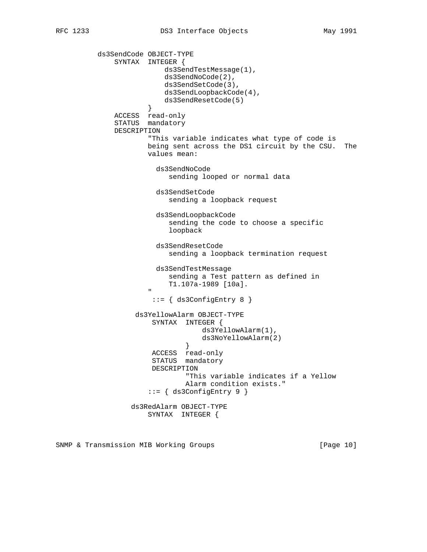ds3SendCode OBJECT-TYPE SYNTAX INTEGER { ds3SendTestMessage(1), ds3SendNoCode(2), ds3SendSetCode(3), ds3SendLoopbackCode(4), ds3SendResetCode(5)<br>} } ACCESS read-only STATUS mandatory DESCRIPTION "This variable indicates what type of code is being sent across the DS1 circuit by the CSU. The values mean: ds3SendNoCode sending looped or normal data ds3SendSetCode sending a loopback request ds3SendLoopbackCode sending the code to choose a specific loopback ds3SendResetCode sending a loopback termination request ds3SendTestMessage sending a Test pattern as defined in T1.107a-1989 [10a]. " ::= { ds3ConfigEntry 8 } ds3YellowAlarm OBJECT-TYPE SYNTAX INTEGER { ds3YellowAlarm(1), ds3NoYellowAlarm(2)<br>} } ACCESS read-only STATUS mandatory DESCRIPTION "This variable indicates if a Yellow Alarm condition exists." ::= { ds3ConfigEntry 9 } ds3RedAlarm OBJECT-TYPE SYNTAX INTEGER {

SNMP & Transmission MIB Working Groups [Page 10]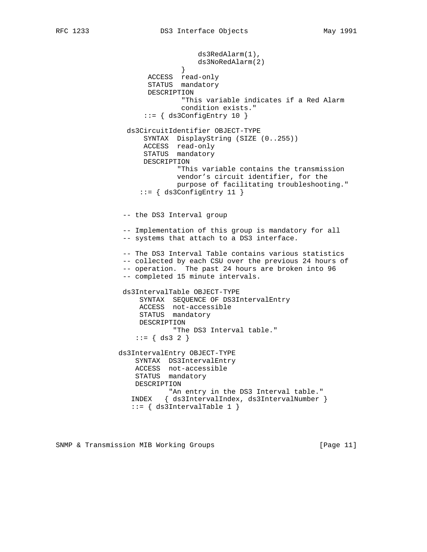```
 ds3RedAlarm(1),
                              ds3NoRedAlarm(2)<br>}
 }
                      ACCESS read-only
                      STATUS mandatory
                      DESCRIPTION
                              "This variable indicates if a Red Alarm
                              condition exists."
                     ::= \{ ds3ConfigEntry 10 \} ds3CircuitIdentifier OBJECT-TYPE
                     SYNTAX DisplayString (SIZE (0..255))
                     ACCESS read-only
                      STATUS mandatory
                     DESCRIPTION
                             "This variable contains the transmission
                             vendor's circuit identifier, for the
                             purpose of facilitating troubleshooting."
                    ::= { ds3ConfigEntry 11 }
                -- the DS3 Interval group
                -- Implementation of this group is mandatory for all
                -- systems that attach to a DS3 interface.
                -- The DS3 Interval Table contains various statistics
                -- collected by each CSU over the previous 24 hours of
                -- operation. The past 24 hours are broken into 96
                -- completed 15 minute intervals.
                ds3IntervalTable OBJECT-TYPE
                    SYNTAX SEQUENCE OF DS3IntervalEntry
                    ACCESS not-accessible
                    STATUS mandatory
                    DESCRIPTION
                            "The DS3 Interval table."
                  ::= { ds3 2 }
               ds3IntervalEntry OBJECT-TYPE
                   SYNTAX DS3IntervalEntry
                   ACCESS not-accessible
                   STATUS mandatory
                   DESCRIPTION
                           "An entry in the DS3 Interval table."
                  INDEX { ds3IntervalIndex, ds3IntervalNumber }
                 ::= \{ ds3IntervalTable 1 \}
```
SNMP & Transmission MIB Working Groups [Page 11]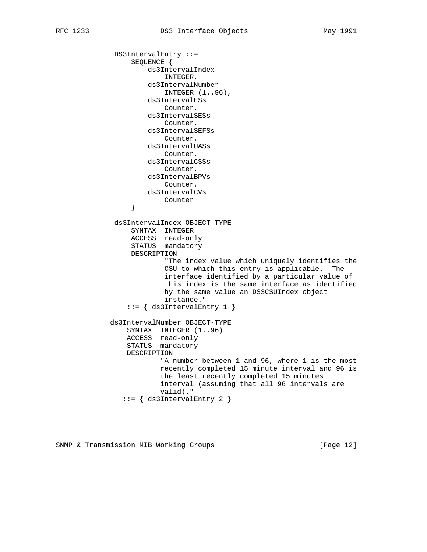```
 DS3IntervalEntry ::=
     SEQUENCE {
```
 ds3IntervalIndex INTEGER, ds3IntervalNumber INTEGER (1..96), ds3IntervalESs Counter, ds3IntervalSESs Counter, ds3IntervalSEFSs Counter, ds3IntervalUASs Counter, ds3IntervalCSSs Counter, ds3IntervalBPVs Counter, ds3IntervalCVs Provided a counter } ds3IntervalIndex OBJECT-TYPE SYNTAX INTEGER ACCESS read-only STATUS mandatory DESCRIPTION "The index value which uniquely identifies the CSU to which this entry is applicable. The interface identified by a particular value of this index is the same interface as identified by the same value an DS3CSUIndex object instance."  $::=$  { ds3IntervalEntry 1 } ds3IntervalNumber OBJECT-TYPE SYNTAX INTEGER (1..96) ACCESS read-only STATUS mandatory DESCRIPTION "A number between 1 and 96, where 1 is the most recently completed 15 minute interval and 96 is the least recently completed 15 minutes interval (assuming that all 96 intervals are valid)." ::= { ds3IntervalEntry 2 }

SNMP & Transmission MIB Working Groups [Page 12]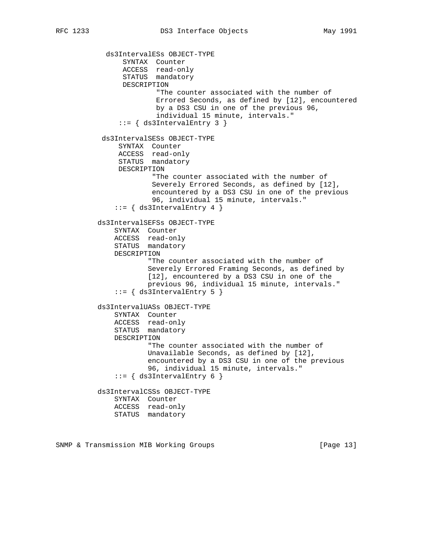ds3IntervalESs OBJECT-TYPE SYNTAX Counter ACCESS read-only STATUS mandatory DESCRIPTION "The counter associated with the number of Errored Seconds, as defined by [12], encountered by a DS3 CSU in one of the previous 96, individual 15 minute, intervals." ::= { ds3IntervalEntry 3 } ds3IntervalSESs OBJECT-TYPE SYNTAX Counter ACCESS read-only STATUS mandatory DESCRIPTION "The counter associated with the number of Severely Errored Seconds, as defined by [12], encountered by a DS3 CSU in one of the previous 96, individual 15 minute, intervals."  $::=$   $\{$  ds3IntervalEntry 4  $\}$  ds3IntervalSEFSs OBJECT-TYPE SYNTAX Counter ACCESS read-only STATUS mandatory DESCRIPTION "The counter associated with the number of Severely Errored Framing Seconds, as defined by [12], encountered by a DS3 CSU in one of the previous 96, individual 15 minute, intervals."  $::=$  { ds3IntervalEntry 5 } ds3IntervalUASs OBJECT-TYPE SYNTAX Counter ACCESS read-only STATUS mandatory DESCRIPTION "The counter associated with the number of Unavailable Seconds, as defined by [12], encountered by a DS3 CSU in one of the previous 96, individual 15 minute, intervals."  $::=$   $\{$  ds3IntervalEntry 6  $\}$  ds3IntervalCSSs OBJECT-TYPE SYNTAX Counter ACCESS read-only STATUS mandatory

SNMP & Transmission MIB Working Groups [Page 13]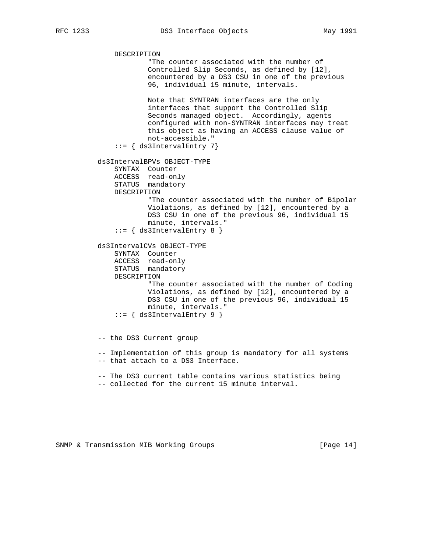```
 DESCRIPTION
                       "The counter associated with the number of
                       Controlled Slip Seconds, as defined by [12],
                       encountered by a DS3 CSU in one of the previous
                      96, individual 15 minute, intervals.
                      Note that SYNTRAN interfaces are the only
                      interfaces that support the Controlled Slip
                      Seconds managed object. Accordingly, agents
                      configured with non-SYNTRAN interfaces may treat
                      this object as having an ACCESS clause value of
                      not-accessible."
              ::= { ds3IntervalEntry 7}
          ds3IntervalBPVs OBJECT-TYPE
              SYNTAX Counter
              ACCESS read-only
              STATUS mandatory
              DESCRIPTION
                      "The counter associated with the number of Bipolar
                      Violations, as defined by [12], encountered by a
                      DS3 CSU in one of the previous 96, individual 15
                      minute, intervals."
             ::= { ds3IntervalEntry 8 }
          ds3IntervalCVs OBJECT-TYPE
              SYNTAX Counter
 ACCESS read-only
STATUS mandatory
              DESCRIPTION
                       "The counter associated with the number of Coding
                      Violations, as defined by [12], encountered by a
                      DS3 CSU in one of the previous 96, individual 15
                      minute, intervals."
             ::= \{ ds3IntervalEntry 9 \} -- the DS3 Current group
          -- Implementation of this group is mandatory for all systems
          -- that attach to a DS3 Interface.
          -- The DS3 current table contains various statistics being
          -- collected for the current 15 minute interval.
```
SNMP & Transmission MIB Working Groups [Page 14]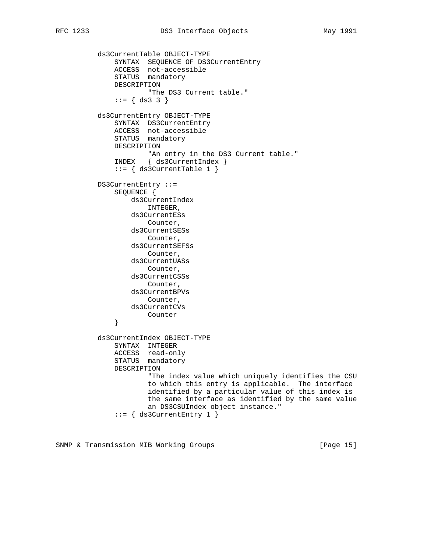ds3CurrentTable OBJECT-TYPE SYNTAX SEQUENCE OF DS3CurrentEntry ACCESS not-accessible STATUS mandatory DESCRIPTION "The DS3 Current table."  $::= \{ ds3 3 \}$  ds3CurrentEntry OBJECT-TYPE SYNTAX DS3CurrentEntry ACCESS not-accessible STATUS mandatory DESCRIPTION "An entry in the DS3 Current table." INDEX { ds3CurrentIndex } ::= { ds3CurrentTable 1 } DS3CurrentEntry ::= SEQUENCE { ds3CurrentIndex INTEGER, ds3CurrentESs Counter, ds3CurrentSESs Counter, ds3CurrentSEFSs Counter, ds3CurrentUASs Counter, ds3CurrentCSSs Counter, ds3CurrentBPVs Counter, ds3CurrentCVs Counter } ds3CurrentIndex OBJECT-TYPE SYNTAX INTEGER ACCESS read-only STATUS mandatory DESCRIPTION "The index value which uniquely identifies the CSU to which this entry is applicable. The interface identified by a particular value of this index is the same interface as identified by the same value an DS3CSUIndex object instance." ::= { ds3CurrentEntry 1 }

SNMP & Transmission MIB Working Groups [Page 15]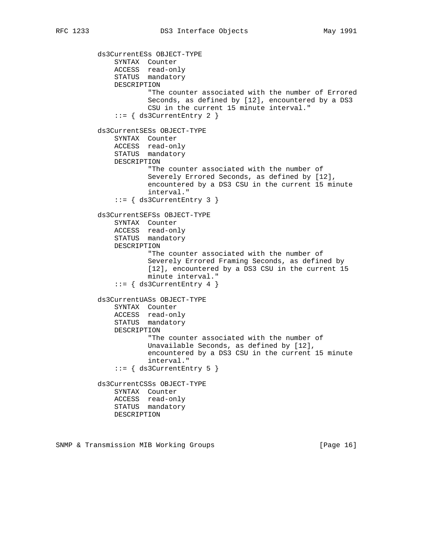ds3CurrentESs OBJECT-TYPE SYNTAX Counter ACCESS read-only STATUS mandatory DESCRIPTION "The counter associated with the number of Errored Seconds, as defined by [12], encountered by a DS3 CSU in the current 15 minute interval."  $::=$  { ds3CurrentEntry 2 } ds3CurrentSESs OBJECT-TYPE SYNTAX Counter ACCESS read-only STATUS mandatory DESCRIPTION "The counter associated with the number of Severely Errored Seconds, as defined by [12], encountered by a DS3 CSU in the current 15 minute interval."  $::=$  { ds3CurrentEntry 3 } ds3CurrentSEFSs OBJECT-TYPE SYNTAX Counter ACCESS read-only STATUS mandatory DESCRIPTION "The counter associated with the number of Severely Errored Framing Seconds, as defined by [12], encountered by a DS3 CSU in the current 15 minute interval."  $::=$  { ds3CurrentEntry 4 } ds3CurrentUASs OBJECT-TYPE SYNTAX Counter ACCESS read-only STATUS mandatory DESCRIPTION "The counter associated with the number of Unavailable Seconds, as defined by [12], encountered by a DS3 CSU in the current 15 minute interval."  $::=$  { ds3CurrentEntry 5 } ds3CurrentCSSs OBJECT-TYPE SYNTAX Counter ACCESS read-only STATUS mandatory DESCRIPTION

SNMP & Transmission MIB Working Groups [Page 16]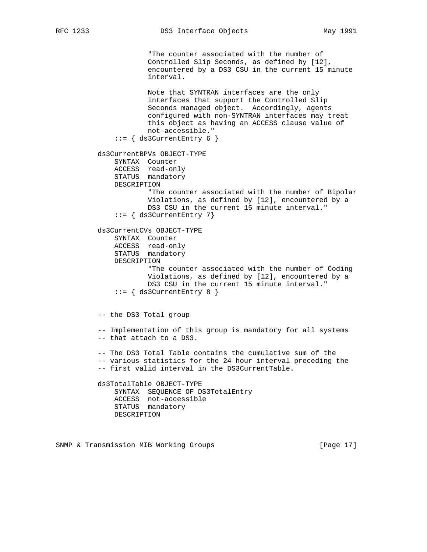"The counter associated with the number of Controlled Slip Seconds, as defined by [12], encountered by a DS3 CSU in the current 15 minute interval. Note that SYNTRAN interfaces are the only interfaces that support the Controlled Slip Seconds managed object. Accordingly, agents configured with non-SYNTRAN interfaces may treat this object as having an ACCESS clause value of not-accessible."  $::=$  { ds3CurrentEntry 6 } ds3CurrentBPVs OBJECT-TYPE SYNTAX Counter ACCESS read-only STATUS mandatory DESCRIPTION "The counter associated with the number of Bipolar Violations, as defined by [12], encountered by a DS3 CSU in the current 15 minute interval." ::= { ds3CurrentEntry 7} ds3CurrentCVs OBJECT-TYPE SYNTAX Counter ACCESS read-only STATUS mandatory DESCRIPTION "The counter associated with the number of Coding Violations, as defined by [12], encountered by a DS3 CSU in the current 15 minute interval."  $::=$  { ds3CurrentEntry 8 } -- the DS3 Total group -- Implementation of this group is mandatory for all systems -- that attach to a DS3. -- The DS3 Total Table contains the cumulative sum of the -- various statistics for the 24 hour interval preceding the -- first valid interval in the DS3CurrentTable. ds3TotalTable OBJECT-TYPE SYNTAX SEQUENCE OF DS3TotalEntry ACCESS not-accessible STATUS mandatory DESCRIPTION

SNMP & Transmission MIB Working Groups [Page 17]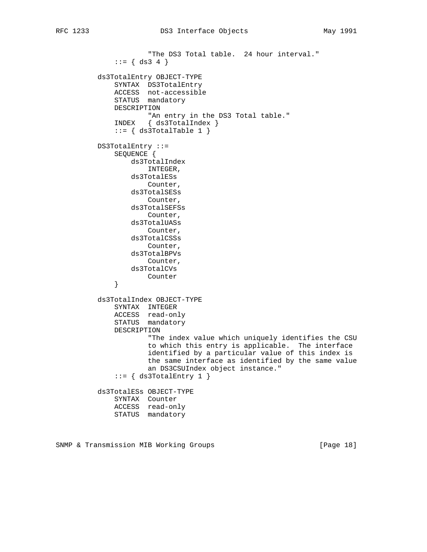```
 "The DS3 Total table. 24 hour interval."
             ::= \{ ds3 4 \} ds3TotalEntry OBJECT-TYPE
SYNTAX DS3TotalEntry
 ACCESS not-accessible
              STATUS mandatory
              DESCRIPTION
                      "An entry in the DS3 Total table."
              INDEX { ds3TotalIndex }
             ::= \{ ds3TotalTable 1 \} DS3TotalEntry ::=
              SEQUENCE {
                  ds3TotalIndex
                      INTEGER,
                  ds3TotalESs
                     Counter,
                  ds3TotalSESs
                     Counter,
                  ds3TotalSEFSs
                      Counter,
                  ds3TotalUASs
                      Counter,
                  ds3TotalCSSs
                      Counter,
                  ds3TotalBPVs
                      Counter,
                  ds3TotalCVs
              Counter
 }
          ds3TotalIndex OBJECT-TYPE
              SYNTAX INTEGER
              ACCESS read-only
              STATUS mandatory
              DESCRIPTION
                      "The index value which uniquely identifies the CSU
                      to which this entry is applicable. The interface
                      identified by a particular value of this index is
                      the same interface as identified by the same value
                      an DS3CSUIndex object instance."
              ::= { ds3TotalEntry 1 }
          ds3TotalESs OBJECT-TYPE
              SYNTAX Counter
              ACCESS read-only
              STATUS mandatory
```
SNMP & Transmission MIB Working Groups [Page 18]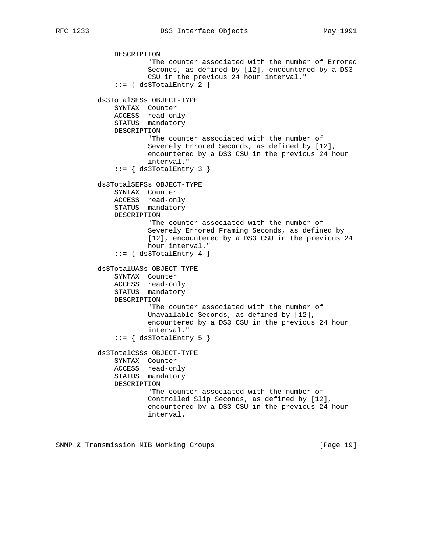```
 DESCRIPTION
             "The counter associated with the number of Errored
             Seconds, as defined by [12], encountered by a DS3
             CSU in the previous 24 hour interval."
    ::= { ds3TotalEntry 2 }
 ds3TotalSESs OBJECT-TYPE
    SYNTAX Counter
     ACCESS read-only
     STATUS mandatory
     DESCRIPTION
             "The counter associated with the number of
             Severely Errored Seconds, as defined by [12],
             encountered by a DS3 CSU in the previous 24 hour
             interval."
    ::= \{ ds3TotalEntry 3 \} ds3TotalSEFSs OBJECT-TYPE
     SYNTAX Counter
     ACCESS read-only
     STATUS mandatory
     DESCRIPTION
             "The counter associated with the number of
             Severely Errored Framing Seconds, as defined by
```

```
 [12], encountered by a DS3 CSU in the previous 24
        hour interval."
::= { ds3TotalEntry 4 }
```

```
 STATUS mandatory
     DESCRIPTION
             "The counter associated with the number of
             Unavailable Seconds, as defined by [12],
             encountered by a DS3 CSU in the previous 24 hour
             interval."
    ::= \{ ds3TotalEntry 5 \} ds3TotalCSSs OBJECT-TYPE
     SYNTAX Counter
     ACCESS read-only
     STATUS mandatory
     DESCRIPTION
             "The counter associated with the number of
             Controlled Slip Seconds, as defined by [12],
             encountered by a DS3 CSU in the previous 24 hour
             interval.
```
SNMP & Transmission MIB Working Groups [Page 19]

 ds3TotalUASs OBJECT-TYPE SYNTAX Counter ACCESS read-only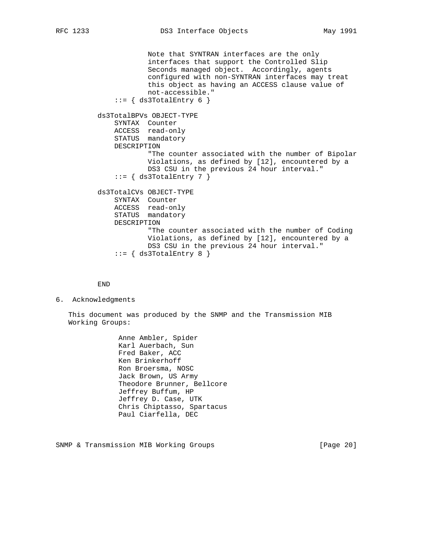```
 Note that SYNTRAN interfaces are the only
             interfaces that support the Controlled Slip
             Seconds managed object. Accordingly, agents
             configured with non-SYNTRAN interfaces may treat
             this object as having an ACCESS clause value of
             not-accessible."
    ::= { ds3TotalEntry 6 }
 ds3TotalBPVs OBJECT-TYPE
     SYNTAX Counter
     ACCESS read-only
     STATUS mandatory
     DESCRIPTION
             "The counter associated with the number of Bipolar
             Violations, as defined by [12], encountered by a
             DS3 CSU in the previous 24 hour interval."
    ::= \{ ds3TotalEntry 7 \} ds3TotalCVs OBJECT-TYPE
     SYNTAX Counter
     ACCESS read-only
     STATUS mandatory
     DESCRIPTION
             "The counter associated with the number of Coding
             Violations, as defined by [12], encountered by a
             DS3 CSU in the previous 24 hour interval."
    ::= { ds3TotalEntry 8 }
```
END

6. Acknowledgments

 This document was produced by the SNMP and the Transmission MIB Working Groups:

> Anne Ambler, Spider Karl Auerbach, Sun Fred Baker, ACC Ken Brinkerhoff Ron Broersma, NOSC Jack Brown, US Army Theodore Brunner, Bellcore Jeffrey Buffum, HP Jeffrey D. Case, UTK Chris Chiptasso, Spartacus Paul Ciarfella, DEC

SNMP & Transmission MIB Working Groups [Page 20]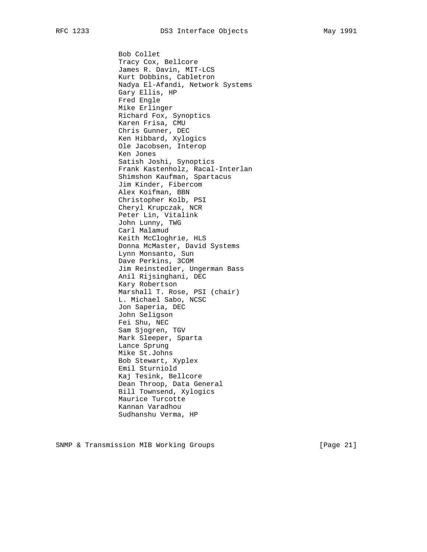Bob Collet Tracy Cox, Bellcore James R. Davin, MIT-LCS Kurt Dobbins, Cabletron Nadya El-Afandi, Network Systems Gary Ellis, HP Fred Engle Mike Erlinger Richard Fox, Synoptics Karen Frisa, CMU Chris Gunner, DEC Ken Hibbard, Xylogics Ole Jacobsen, Interop Ken Jones Satish Joshi, Synoptics Frank Kastenholz, Racal-Interlan Shimshon Kaufman, Spartacus Jim Kinder, Fibercom Alex Koifman, BBN Christopher Kolb, PSI Cheryl Krupczak, NCR Peter Lin, Vitalink John Lunny, TWG Carl Malamud Keith McCloghrie, HLS Donna McMaster, David Systems Lynn Monsanto, Sun Dave Perkins, 3COM Jim Reinstedler, Ungerman Bass Anil Rijsinghani, DEC Kary Robertson Marshall T. Rose, PSI (chair) L. Michael Sabo, NCSC Jon Saperia, DEC John Seligson Fei Shu, NEC Sam Sjogren, TGV Mark Sleeper, Sparta Lance Sprung Mike St.Johns Bob Stewart, Xyplex Emil Sturniold Kaj Tesink, Bellcore Dean Throop, Data General Bill Townsend, Xylogics Maurice Turcotte Kannan Varadhou Sudhanshu Verma, HP

SNMP & Transmission MIB Working Groups [Page 21]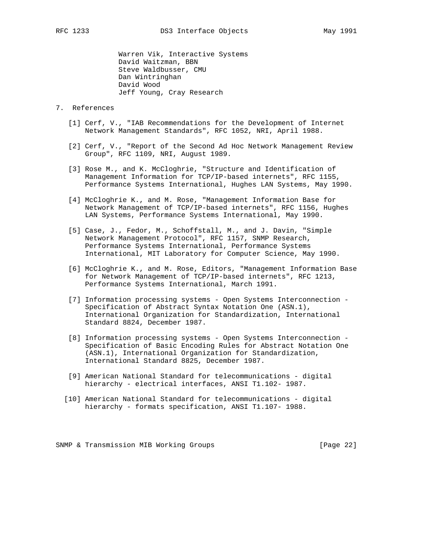Warren Vik, Interactive Systems David Waitzman, BBN Steve Waldbusser, CMU Dan Wintringhan David Wood Jeff Young, Cray Research

- 7. References
	- [1] Cerf, V., "IAB Recommendations for the Development of Internet Network Management Standards", RFC 1052, NRI, April 1988.
	- [2] Cerf, V., "Report of the Second Ad Hoc Network Management Review Group", RFC 1109, NRI, August 1989.
	- [3] Rose M., and K. McCloghrie, "Structure and Identification of Management Information for TCP/IP-based internets", RFC 1155, Performance Systems International, Hughes LAN Systems, May 1990.
	- [4] McCloghrie K., and M. Rose, "Management Information Base for Network Management of TCP/IP-based internets", RFC 1156, Hughes LAN Systems, Performance Systems International, May 1990.
	- [5] Case, J., Fedor, M., Schoffstall, M., and J. Davin, "Simple Network Management Protocol", RFC 1157, SNMP Research, Performance Systems International, Performance Systems International, MIT Laboratory for Computer Science, May 1990.
	- [6] McCloghrie K., and M. Rose, Editors, "Management Information Base for Network Management of TCP/IP-based internets", RFC 1213, Performance Systems International, March 1991.
	- [7] Information processing systems Open Systems Interconnection Specification of Abstract Syntax Notation One (ASN.1), International Organization for Standardization, International Standard 8824, December 1987.
	- [8] Information processing systems Open Systems Interconnection Specification of Basic Encoding Rules for Abstract Notation One (ASN.1), International Organization for Standardization, International Standard 8825, December 1987.
	- [9] American National Standard for telecommunications digital hierarchy - electrical interfaces, ANSI T1.102- 1987.
	- [10] American National Standard for telecommunications digital hierarchy - formats specification, ANSI T1.107- 1988.

SNMP & Transmission MIB Working Groups [Page 22]